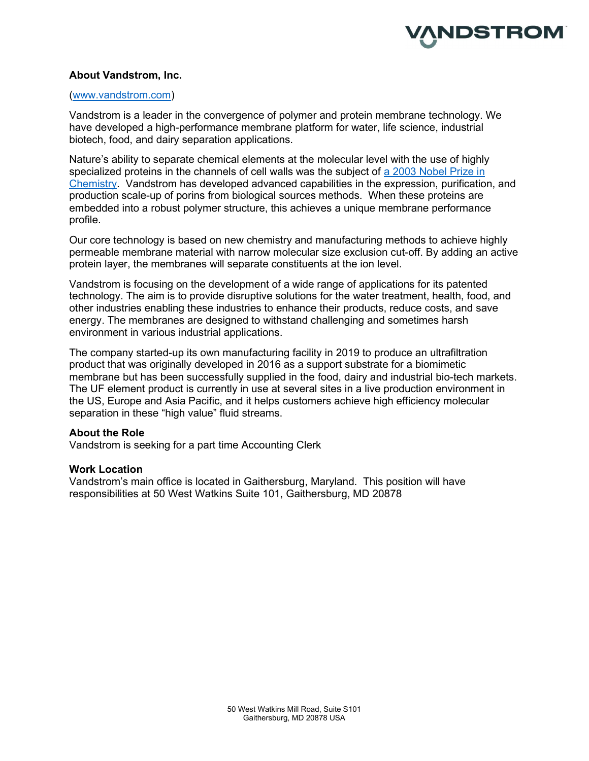

## About Vandstrom, Inc.

### (www.vandstrom.com)

Vandstrom is a leader in the convergence of polymer and protein membrane technology. We have developed a high-performance membrane platform for water, life science, industrial biotech, food, and dairy separation applications.

Nature's ability to separate chemical elements at the molecular level with the use of highly specialized proteins in the channels of cell walls was the subject of a 2003 Nobel Prize in Chemistry. Vandstrom has developed advanced capabilities in the expression, purification, and production scale-up of porins from biological sources methods. When these proteins are embedded into a robust polymer structure, this achieves a unique membrane performance profile.

Our core technology is based on new chemistry and manufacturing methods to achieve highly permeable membrane material with narrow molecular size exclusion cut-off. By adding an active protein layer, the membranes will separate constituents at the ion level.

Vandstrom is focusing on the development of a wide range of applications for its patented technology. The aim is to provide disruptive solutions for the water treatment, health, food, and other industries enabling these industries to enhance their products, reduce costs, and save energy. The membranes are designed to withstand challenging and sometimes harsh environment in various industrial applications.

The company started-up its own manufacturing facility in 2019 to produce an ultrafiltration product that was originally developed in 2016 as a support substrate for a biomimetic membrane but has been successfully supplied in the food, dairy and industrial bio-tech markets. The UF element product is currently in use at several sites in a live production environment in the US, Europe and Asia Pacific, and it helps customers achieve high efficiency molecular separation in these "high value" fluid streams.

## About the Role

Vandstrom is seeking for a part time Accounting Clerk

### Work Location

Vandstrom's main office is located in Gaithersburg, Maryland. This position will have responsibilities at 50 West Watkins Suite 101, Gaithersburg, MD 20878